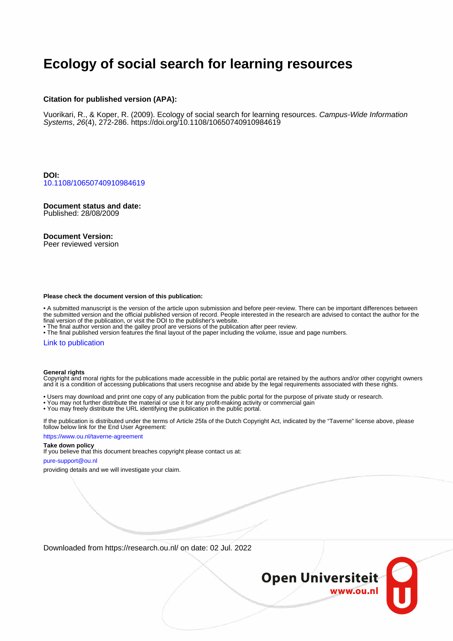# **Ecology of social search for learning resources**

#### **Citation for published version (APA):**

Vuorikari, R., & Koper, R. (2009). Ecology of social search for learning resources. Campus-Wide Information Systems, 26(4), 272-286.<https://doi.org/10.1108/10650740910984619>

**DOI:** [10.1108/10650740910984619](https://doi.org/10.1108/10650740910984619)

**Document status and date:** Published: 28/08/2009

**Document Version:** Peer reviewed version

#### **Please check the document version of this publication:**

• A submitted manuscript is the version of the article upon submission and before peer-review. There can be important differences between the submitted version and the official published version of record. People interested in the research are advised to contact the author for the final version of the publication, or visit the DOI to the publisher's website.

• The final author version and the galley proof are versions of the publication after peer review.

• The final published version features the final layout of the paper including the volume, issue and page numbers.

#### [Link to publication](https://research.ou.nl/en/publications/f261397f-1ccb-4389-887f-65d87fb0c733)

#### **General rights**

Copyright and moral rights for the publications made accessible in the public portal are retained by the authors and/or other copyright owners and it is a condition of accessing publications that users recognise and abide by the legal requirements associated with these rights.

• Users may download and print one copy of any publication from the public portal for the purpose of private study or research.

- You may not further distribute the material or use it for any profit-making activity or commercial gain
- You may freely distribute the URL identifying the publication in the public portal.

If the publication is distributed under the terms of Article 25fa of the Dutch Copyright Act, indicated by the "Taverne" license above, please follow below link for the End User Agreement:

#### https://www.ou.nl/taverne-agreement

#### **Take down policy**

If you believe that this document breaches copyright please contact us at:

#### pure-support@ou.nl

providing details and we will investigate your claim.

Downloaded from https://research.ou.nl/ on date: 02 Jul. 2022

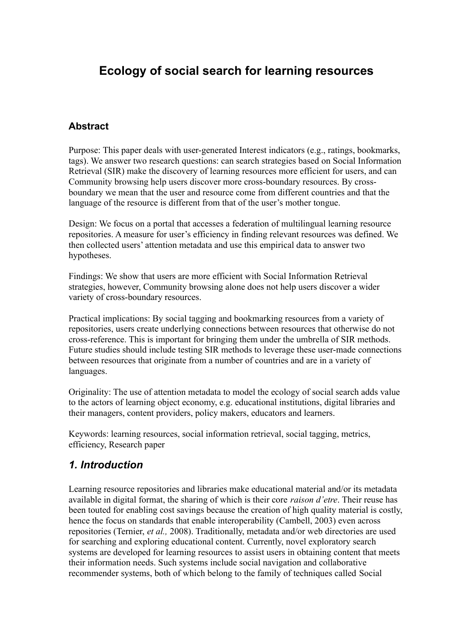# **Ecology of social search for learning resources**

#### **Abstract**

Purpose: This paper deals with user-generated Interest indicators (e.g., ratings, bookmarks, tags). We answer two research questions: can search strategies based on Social Information Retrieval (SIR) make the discovery of learning resources more efficient for users, and can Community browsing help users discover more cross-boundary resources. By crossboundary we mean that the user and resource come from different countries and that the language of the resource is different from that of the user's mother tongue.

Design: We focus on a portal that accesses a federation of multilingual learning resource repositories. A measure for user's efficiency in finding relevant resources was defined. We then collected users' attention metadata and use this empirical data to answer two hypotheses.

Findings: We show that users are more efficient with Social Information Retrieval strategies, however, Community browsing alone does not help users discover a wider variety of cross-boundary resources.

Practical implications: By social tagging and bookmarking resources from a variety of repositories, users create underlying connections between resources that otherwise do not cross-reference. This is important for bringing them under the umbrella of SIR methods. Future studies should include testing SIR methods to leverage these user-made connections between resources that originate from a number of countries and are in a variety of languages.

Originality: The use of attention metadata to model the ecology of social search adds value to the actors of learning object economy, e.g. educational institutions, digital libraries and their managers, content providers, policy makers, educators and learners.

Keywords: learning resources, social information retrieval, social tagging, metrics, efficiency, Research paper

## *1. Introduction*

Learning resource repositories and libraries make educational material and/or its metadata available in digital format, the sharing of which is their core *raison d'etre*. Their reuse has been touted for enabling cost savings because the creation of high quality material is costly, hence the focus on standards that enable interoperability (Cambell, 2003) even across repositories (Ternier, *et al.,* 2008). Traditionally, metadata and/or web directories are used for searching and exploring educational content. Currently, novel exploratory search systems are developed for learning resources to assist users in obtaining content that meets their information needs. Such systems include social navigation and collaborative recommender systems, both of which belong to the family of techniques called Social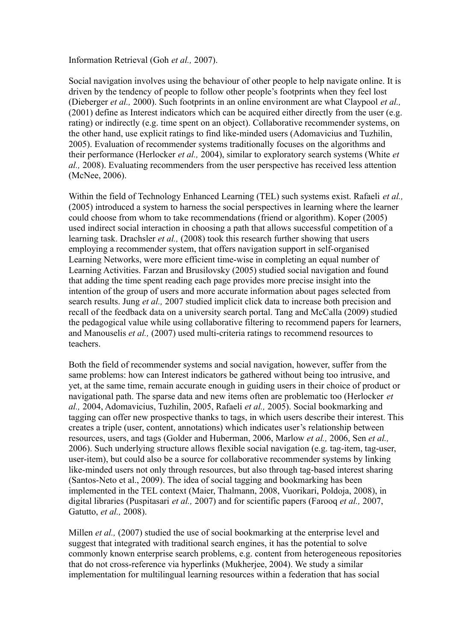Information Retrieval (Goh *et al.,* 2007).

Social navigation involves using the behaviour of other people to help navigate online. It is driven by the tendency of people to follow other people's footprints when they feel lost (Dieberger *et al.,* 2000). Such footprints in an online environment are what Claypool *et al.,* (2001) define as Interest indicators which can be acquired either directly from the user (e.g. rating) or indirectly (e.g. time spent on an object). Collaborative recommender systems, on the other hand, use explicit ratings to find like-minded users (Adomavicius and Tuzhilin, 2005). Evaluation of recommender systems traditionally focuses on the algorithms and their performance (Herlocker *et al.,* 2004), similar to exploratory search systems (White *et al.,* 2008). Evaluating recommenders from the user perspective has received less attention (McNee, 2006).

Within the field of Technology Enhanced Learning (TEL) such systems exist. Rafaeli *et al.,* (2005) introduced a system to harness the social perspectives in learning where the learner could choose from whom to take recommendations (friend or algorithm). Koper (2005) used indirect social interaction in choosing a path that allows successful competition of a learning task. Drachsler *et al.,* (2008) took this research further showing that users employing a recommender system, that offers navigation support in self-organised Learning Networks, were more efficient time-wise in completing an equal number of Learning Activities. Farzan and Brusilovsky (2005) studied social navigation and found that adding the time spent reading each page provides more precise insight into the intention of the group of users and more accurate information about pages selected from search results. Jung *et al.,* 2007 studied implicit click data to increase both precision and recall of the feedback data on a university search portal. Tang and McCalla (2009) studied the pedagogical value while using collaborative filtering to recommend papers for learners, and Manouselis *et al.,* (2007) used multi-criteria ratings to recommend resources to teachers.

Both the field of recommender systems and social navigation, however, suffer from the same problems: how can Interest indicators be gathered without being too intrusive, and yet, at the same time, remain accurate enough in guiding users in their choice of product or navigational path. The sparse data and new items often are problematic too (Herlocker *et al.,* 2004, Adomavicius, Tuzhilin, 2005, Rafaeli *et al.,* 2005). Social bookmarking and tagging can offer new prospective thanks to tags, in which users describe their interest. This creates a triple (user, content, annotations) which indicates user's relationship between resources, users, and tags (Golder and Huberman, 2006, Marlow *et al.,* 2006, Sen *et al.,* 2006). Such underlying structure allows flexible social navigation (e.g. tag-item, tag-user, user-item), but could also be a source for collaborative recommender systems by linking like-minded users not only through resources, but also through tag-based interest sharing (Santos-Neto et al., 2009). The idea of social tagging and bookmarking has been implemented in the TEL context (Maier, Thalmann, 2008, Vuorikari, Poldoja, 2008), in digital libraries (Puspitasari *et al.,* 2007) and for scientific papers (Farooq *et al.,* 2007, Gatutto, *et al.,* 2008).

Millen *et al.*, (2007) studied the use of social bookmarking at the enterprise level and suggest that integrated with traditional search engines, it has the potential to solve commonly known enterprise search problems, e.g. content from heterogeneous repositories that do not cross-reference via hyperlinks (Mukherjee, 2004). We study a similar implementation for multilingual learning resources within a federation that has social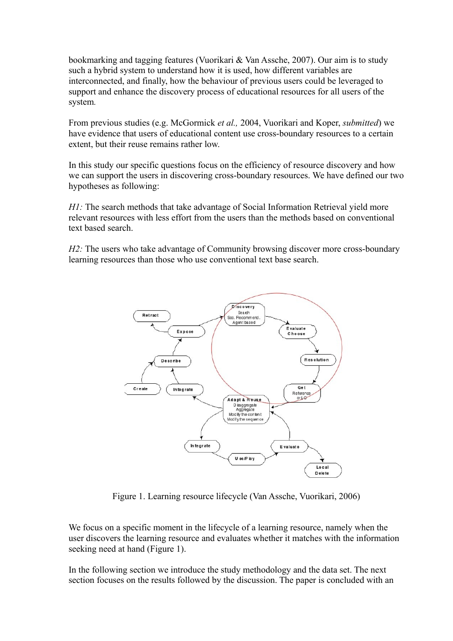bookmarking and tagging features (Vuorikari & Van Assche, 2007). Our aim is to study such a hybrid system to understand how it is used, how different variables are interconnected, and finally, how the behaviour of previous users could be leveraged to support and enhance the discovery process of educational resources for all users of the system*.*

From previous studies (e.g. McGormick *et al.,* 2004, Vuorikari and Koper, *submitted*) we have evidence that users of educational content use cross-boundary resources to a certain extent, but their reuse remains rather low.

In this study our specific questions focus on the efficiency of resource discovery and how we can support the users in discovering cross-boundary resources. We have defined our two hypotheses as following:

*H1*: The search methods that take advantage of Social Information Retrieval yield more relevant resources with less effort from the users than the methods based on conventional text based search.

*H2*: The users who take advantage of Community browsing discover more cross-boundary learning resources than those who use conventional text base search.



Figure 1. Learning resource lifecycle (Van Assche, Vuorikari, 2006)

We focus on a specific moment in the lifecycle of a learning resource, namely when the user discovers the learning resource and evaluates whether it matches with the information seeking need at hand (Figure 1).

In the following section we introduce the study methodology and the data set. The next section focuses on the results followed by the discussion. The paper is concluded with an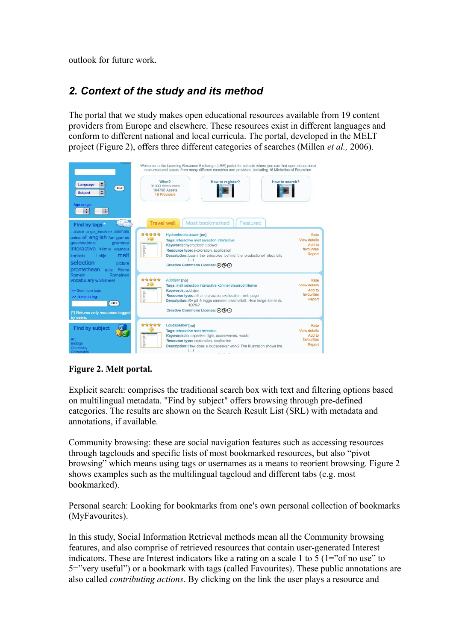outlook for future work.

# *2. Context of the study and its method*

The portal that we study makes open educational resources available from 19 content providers from Europe and elsewhere. These resources exist in different languages and conform to different national and local curricula. The portal, developed in the MELT project (Figure 2), offers three different categories of searches (Millen *et al.,* 2006).

| $\ddot{\phantom{1}}$<br>Language<br>GO<br>÷<br><b>Subject</b><br>Age range:<br>$\mathbb{R}$ :<br>$\left  \cdot \right $                                                                                                                   | Welcome to the Learning Resource Exchange (LRE) portal for schools where you can find open educational<br>resources and assets from many different countries and providers, including 16 Ministries of Education.<br>How to register?<br>How to search?<br>What?<br>31333 Resources<br>104798 Assets<br><b>19 Providers</b>                                                       |                                                               |
|-------------------------------------------------------------------------------------------------------------------------------------------------------------------------------------------------------------------------------------------|-----------------------------------------------------------------------------------------------------------------------------------------------------------------------------------------------------------------------------------------------------------------------------------------------------------------------------------------------------------------------------------|---------------------------------------------------------------|
| <b>Cyric</b><br>Find by tags<br>állatok angol kicsiknek animals<br>cnice efl english fun games<br>geschiedenis<br>grammar<br>interactive kémia kirjandus<br>melt<br>koolielu<br>Latijn<br>selection<br>picture<br>promethean<br>quiz Rome | Most bookmarked<br>Featured<br><b>Travel well</b><br>*****<br>Hydroelectric power [no]<br>3 <sup>o</sup><br>Tags: interactive melt selection interactive<br>Keywords: hydroelectric power<br>and Least Lin.<br>Resource type: exploration, application<br><b>Description:</b> Learn the principles behind the production of electricity<br>Creative Commons Licence: (?) (\$) (=) | Rate<br>View details<br>Add to<br>favourites<br>Report        |
| Romein<br>Romeinen<br>vocabulary worksheet<br>>> See more tags<br>>> Jump to tag:<br>GO<br>(*) Returns only resources tagged<br>by users.                                                                                                 | *****<br>Addisjon [no]<br>$2\circledcirc$<br>Tags: melt selection interactive kümnendmurrud liitmine<br>Keywords: addisjon<br>Resource type: drill and practice, exploration, web page<br>E<br>Description: Øv på å legge sammen desimaltall. Hvor lenge klarer du<br>100%?<br>Creative Commons Licence: (6) (5) (=)                                                              | Rate<br><b>View details</b><br>Add to<br>favourites<br>Report |
| <b>Find by subject</b><br>Art<br><b>Biology</b><br>Chemistry<br><b>Citizenship</b>                                                                                                                                                        | *****<br>Loudspeaker [no]<br>Tags: interactive melt selection<br>Keywords: loudspeaker, light, soundwaves, music<br>Resource type: exploration, application<br>lin<br>Description: How does a loudspeaker work? The illustration shows the<br>$(\ldots)$                                                                                                                          | Rate<br>View details<br>Add to<br>favourites<br>Report        |

### **Figure 2. Melt portal.**

Explicit search: comprises the traditional search box with text and filtering options based on multilingual metadata. "Find by subject" offers browsing through pre-defined categories. The results are shown on the Search Result List (SRL) with metadata and annotations, if available.

Community browsing: these are social navigation features such as accessing resources through tagclouds and specific lists of most bookmarked resources, but also "pivot browsing" which means using tags or usernames as a means to reorient browsing. Figure 2 shows examples such as the multilingual tagcloud and different tabs (e.g. most bookmarked).

Personal search: Looking for bookmarks from one's own personal collection of bookmarks (MyFavourites).

In this study, Social Information Retrieval methods mean all the Community browsing features, and also comprise of retrieved resources that contain user-generated Interest indicators. These are Interest indicators like a rating on a scale 1 to 5 ( $1 =$ "of no use" to 5="very useful") or a bookmark with tags (called Favourites). These public annotations are also called *contributing actions*. By clicking on the link the user plays a resource and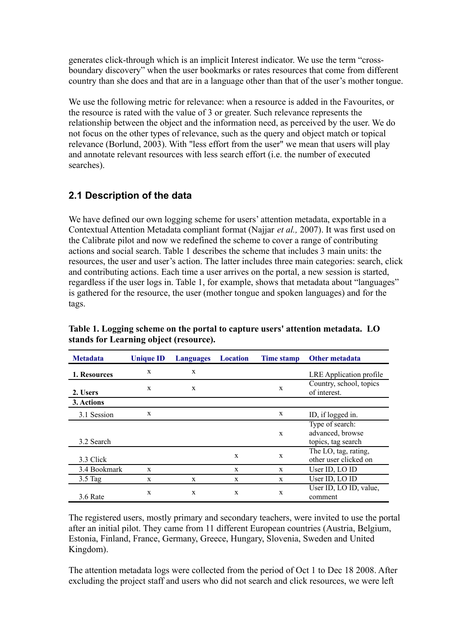generates click-through which is an implicit Interest indicator. We use the term "crossboundary discovery" when the user bookmarks or rates resources that come from different country than she does and that are in a language other than that of the user's mother tongue.

We use the following metric for relevance: when a resource is added in the Favourites, or the resource is rated with the value of 3 or greater. Such relevance represents the relationship between the object and the information need, as perceived by the user. We do not focus on the other types of relevance, such as the query and object match or topical relevance (Borlund, 2003). With "less effort from the user" we mean that users will play and annotate relevant resources with less search effort (i.e. the number of executed searches).

## **2.1 Description of the data**

We have defined our own logging scheme for users' attention metadata, exportable in a Contextual Attention Metadata compliant format (Najjar *et al.,* 2007). It was first used on the Calibrate pilot and now we redefined the scheme to cover a range of contributing actions and social search. Table 1 describes the scheme that includes 3 main units: the resources, the user and user's action. The latter includes three main categories: search, click and contributing actions. Each time a user arrives on the portal, a new session is started, regardless if the user logs in. Table 1, for example, shows that metadata about "languages" is gathered for the resource, the user (mother tongue and spoken languages) and for the tags.

| <b>Metadata</b> | <b>Unique ID</b> | Languages | <b>Location</b> | Time stamp   | <b>Other metadata</b>                                     |
|-----------------|------------------|-----------|-----------------|--------------|-----------------------------------------------------------|
| 1. Resources    | X                | X         |                 |              | LRE Application profile                                   |
| 2. Users        | X                | X         |                 | X            | Country, school, topics<br>of interest.                   |
| 3. Actions      |                  |           |                 |              |                                                           |
| 3.1 Session     | X                |           |                 | X            | ID, if logged in.                                         |
| 3.2 Search      |                  |           |                 | $\mathbf{x}$ | Type of search:<br>advanced, browse<br>topics, tag search |
| 3.3 Click       |                  |           | X               | X            | The LO, tag, rating,<br>other user clicked on             |
| 3.4 Bookmark    | X                |           | X               | $\mathbf{x}$ | User ID, LO ID                                            |
| $3.5$ Tag       | X                | X         | X               | X            | User ID, LO ID                                            |
| 3.6 Rate        | X                | X         | X               | X            | User ID, LO ID, value,<br>comment                         |

**Table 1. Logging scheme on the portal to capture users' attention metadata. LO stands for Learning object (resource).**

The registered users, mostly primary and secondary teachers, were invited to use the portal after an initial pilot. They came from 11 different European countries (Austria, Belgium, Estonia, Finland, France, Germany, Greece, Hungary, Slovenia, Sweden and United Kingdom).

The attention metadata logs were collected from the period of Oct 1 to Dec 18 2008. After excluding the project staff and users who did not search and click resources, we were left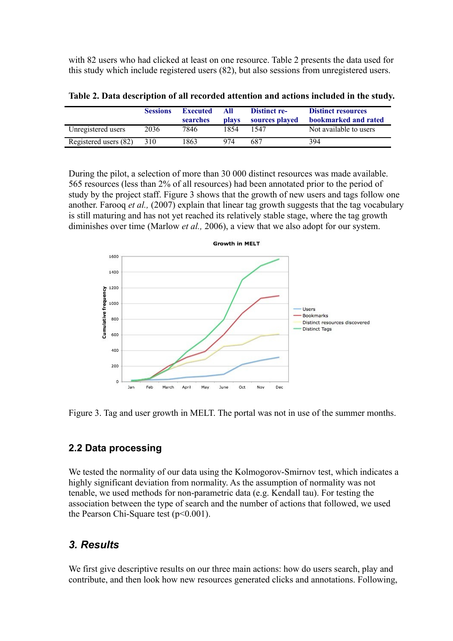with 82 users who had clicked at least on one resource. Table 2 presents the data used for this study which include registered users (82), but also sessions from unregistered users.

|                       | <b>Sessions</b> | <b>Executed</b><br>searches | All<br><b>plays</b> | <b>Distinct re-</b><br>sources played | <b>Distinct resources</b><br>bookmarked and rated |
|-----------------------|-----------------|-----------------------------|---------------------|---------------------------------------|---------------------------------------------------|
| Unregistered users    | 2036            | 7846                        | 1854                | 1547                                  | Not available to users                            |
| Registered users (82) | 310             | 1863                        | 974                 | 687                                   | 394                                               |

**Table 2. Data description of all recorded attention and actions included in the study.**

During the pilot, a selection of more than 30 000 distinct resources was made available. 565 resources (less than 2% of all resources) had been annotated prior to the period of study by the project staff. Figure 3 shows that the growth of new users and tags follow one another. Farooq *et al.,* (2007) explain that linear tag growth suggests that the tag vocabulary is still maturing and has not yet reached its relatively stable stage, where the tag growth diminishes over time (Marlow *et al.,* 2006), a view that we also adopt for our system.



Figure 3. Tag and user growth in MELT. The portal was not in use of the summer months.

### **2.2 Data processing**

We tested the normality of our data using the Kolmogorov-Smirnov test, which indicates a highly significant deviation from normality. As the assumption of normality was not tenable, we used methods for non-parametric data (e.g. Kendall tau). For testing the association between the type of search and the number of actions that followed, we used the Pearson Chi-Square test  $(p<0.001)$ .

## *3. Results*

We first give descriptive results on our three main actions: how do users search, play and contribute, and then look how new resources generated clicks and annotations. Following,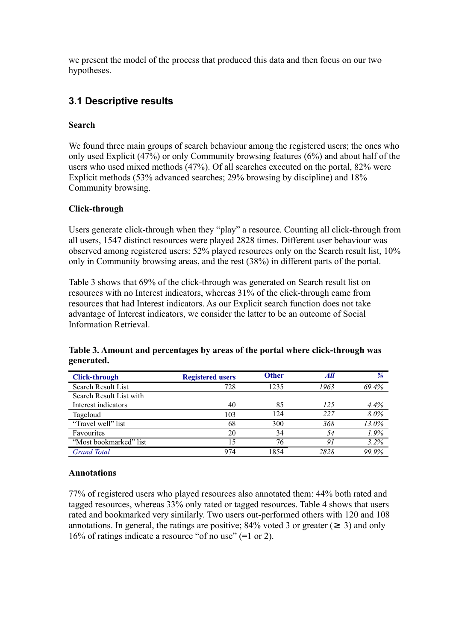we present the model of the process that produced this data and then focus on our two hypotheses.

## **3.1 Descriptive results**

#### **Search**

We found three main groups of search behaviour among the registered users; the ones who only used Explicit (47%) or only Community browsing features (6%) and about half of the users who used mixed methods (47%). Of all searches executed on the portal, 82% were Explicit methods (53% advanced searches; 29% browsing by discipline) and 18% Community browsing.

#### **Click-through**

Users generate click-through when they "play" a resource. Counting all click-through from all users, 1547 distinct resources were played 2828 times. Different user behaviour was observed among registered users: 52% played resources only on the Search result list, 10% only in Community browsing areas, and the rest (38%) in different parts of the portal.

Table 3 shows that 69% of the click-through was generated on Search result list on resources with no Interest indicators, whereas 31% of the click-through came from resources that had Interest indicators. As our Explicit search function does not take advantage of Interest indicators, we consider the latter to be an outcome of Social Information Retrieval.

| <b>Click-through</b>    | <b>Registered users</b> | <b>Other</b> | All  | %     |
|-------------------------|-------------------------|--------------|------|-------|
| Search Result List      | 728                     | 1235         | 1963 | 69.4% |
| Search Result List with |                         |              |      |       |
| Interest indicators     | 40                      | 85           | 125  | 4.4%  |
| Tagcloud                | 103                     | 124          | 227  | 8.0%  |
| "Travel well" list      | 68                      | 300          | 368  | 13.0% |
| Favourites              | 20                      | 34           | 54   | 1.9%  |
| "Most bookmarked" list  | 15                      | 76           |      | 3.2%  |
| <b>Grand Total</b>      | 974                     | 1854         | 2828 | 99.9% |

#### **Table 3. Amount and percentages by areas of the portal where click-through was generated.**

#### **Annotations**

77% of registered users who played resources also annotated them: 44% both rated and tagged resources, whereas 33% only rated or tagged resources. Table 4 shows that users rated and bookmarked very similarly. Two users out-performed others with 120 and 108 annotations. In general, the ratings are positive; 84% voted 3 or greater ( $\geq 3$ ) and only 16% of ratings indicate a resource "of no use" (=1 or 2).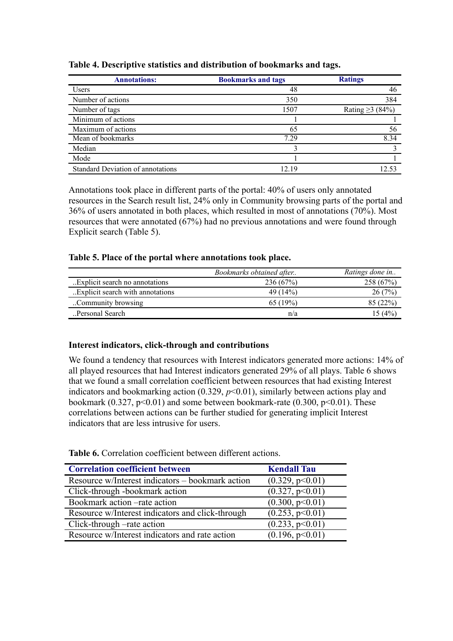| <b>Annotations:</b>                      | <b>Bookmarks and tags</b> | <b>Ratings</b>        |
|------------------------------------------|---------------------------|-----------------------|
| <b>Users</b>                             | 48                        | 46                    |
| Number of actions                        | 350                       | 384                   |
| Number of tags                           | 1507                      | Rating $\geq$ 3 (84%) |
| Minimum of actions                       |                           |                       |
| Maximum of actions                       | 65                        | 56                    |
| Mean of bookmarks                        | 7.29                      | 8.34                  |
| Median                                   |                           |                       |
| Mode                                     |                           |                       |
| <b>Standard Deviation of annotations</b> | 12.19                     | 12.53                 |

**Table 4. Descriptive statistics and distribution of bookmarks and tags.** 

Annotations took place in different parts of the portal: 40% of users only annotated resources in the Search result list, 24% only in Community browsing parts of the portal and 36% of users annotated in both places, which resulted in most of annotations (70%). Most resources that were annotated (67%) had no previous annotations and were found through Explicit search (Table 5).

#### **Table 5. Place of the portal where annotations took place.**

|                                   | Bookmarks obtained after | Ratings done in |
|-----------------------------------|--------------------------|-----------------|
| Explicit search no annotations.   | 236(67%)                 | 258 (67%)       |
| Explicit search with annotations. | 49 (14%)                 | 26(7%)          |
| Community browsing                | 65(19%)                  | 85 (22%)        |
| Personal Search                   | n/a                      | 15 (4%)         |

#### **Interest indicators, click-through and contributions**

We found a tendency that resources with Interest indicators generated more actions: 14% of all played resources that had Interest indicators generated 29% of all plays. Table 6 shows that we found a small correlation coefficient between resources that had existing Interest indicators and bookmarking action  $(0.329, p<0.01)$ , similarly between actions play and bookmark (0.327,  $p<0.01$ ) and some between bookmark-rate (0.300,  $p<0.01$ ). These correlations between actions can be further studied for generating implicit Interest indicators that are less intrusive for users.

| <b>Correlation coefficient between</b>           | <b>Kendall Tau</b> |
|--------------------------------------------------|--------------------|
| Resource w/Interest indicators – bookmark action | (0.329, p<0.01)    |
| Click-through -bookmark action                   | (0.327, p<0.01)    |
| Bookmark action –rate action                     | (0.300, p<0.01)    |
| Resource w/Interest indicators and click-through | (0.253, p<0.01)    |
| Click-through –rate action                       | (0.233, p<0.01)    |
| Resource w/Interest indicators and rate action   | (0.196, p<0.01)    |

**Table 6.** Correlation coefficient between different actions.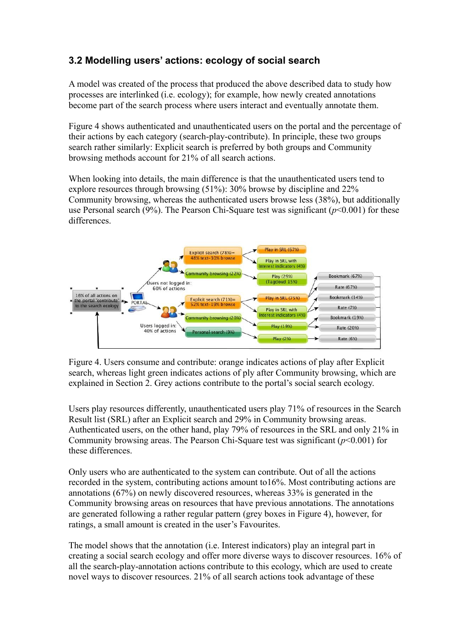## **3.2 Modelling users' actions: ecology of social search**

A model was created of the process that produced the above described data to study how processes are interlinked (i.e. ecology); for example, how newly created annotations become part of the search process where users interact and eventually annotate them.

Figure 4 shows authenticated and unauthenticated users on the portal and the percentage of their actions by each category (search-play-contribute). In principle, these two groups search rather similarly: Explicit search is preferred by both groups and Community browsing methods account for 21% of all search actions.

When looking into details, the main difference is that the unauthenticated users tend to explore resources through browsing (51%): 30% browse by discipline and 22% Community browsing, whereas the authenticated users browse less (38%), but additionally use Personal search (9%). The Pearson Chi-Square test was significant (*p*<0.001) for these differences.



Figure 4. Users consume and contribute: orange indicates actions of play after Explicit search, whereas light green indicates actions of ply after Community browsing, which are explained in Section 2. Grey actions contribute to the portal's social search ecology.

Users play resources differently, unauthenticated users play 71% of resources in the Search Result list (SRL) after an Explicit search and 29% in Community browsing areas. Authenticated users, on the other hand, play 79% of resources in the SRL and only 21% in Community browsing areas. The Pearson Chi-Square test was significant (*p*<0.001) for these differences.

Only users who are authenticated to the system can contribute. Out of all the actions recorded in the system, contributing actions amount to16%. Most contributing actions are annotations (67%) on newly discovered resources, whereas 33% is generated in the Community browsing areas on resources that have previous annotations. The annotations are generated following a rather regular pattern (grey boxes in Figure 4), however, for ratings, a small amount is created in the user's Favourites.

The model shows that the annotation (i.e. Interest indicators) play an integral part in creating a social search ecology and offer more diverse ways to discover resources. 16% of all the search-play-annotation actions contribute to this ecology, which are used to create novel ways to discover resources. 21% of all search actions took advantage of these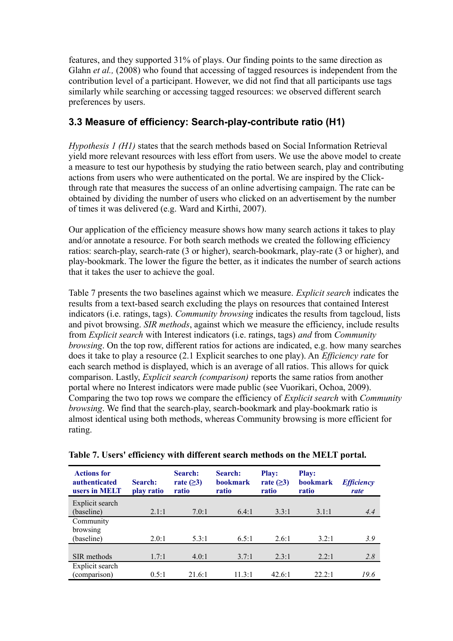features, and they supported 31% of plays. Our finding points to the same direction as Glahn *et al.*, (2008) who found that accessing of tagged resources is independent from the contribution level of a participant. However, we did not find that all participants use tags similarly while searching or accessing tagged resources: we observed different search preferences by users.

## **3.3 Measure of efficiency: Search-play-contribute ratio (H1)**

*Hypothesis 1 (H1)* states that the search methods based on Social Information Retrieval yield more relevant resources with less effort from users. We use the above model to create a measure to test our hypothesis by studying the ratio between search, play and contributing actions from users who were authenticated on the portal. We are inspired by the Clickthrough rate that measures the success of an online advertising campaign. The rate can be obtained by dividing the number of users who clicked on an advertisement by the number of times it was delivered (e.g. Ward and Kirthi, 2007).

Our application of the efficiency measure shows how many search actions it takes to play and/or annotate a resource. For both search methods we created the following efficiency ratios: search-play, search-rate (3 or higher), search-bookmark, play-rate (3 or higher), and play-bookmark. The lower the figure the better, as it indicates the number of search actions that it takes the user to achieve the goal.

Table 7 presents the two baselines against which we measure. *Explicit search* indicates the results from a text-based search excluding the plays on resources that contained Interest indicators (i.e. ratings, tags). *Community browsing* indicates the results from tagcloud, lists and pivot browsing. *SIR methods*, against which we measure the efficiency, include results from *Explicit search* with Interest indicators (i.e. ratings, tags) *and* from *Community browsing*. On the top row, different ratios for actions are indicated, e.g. how many searches does it take to play a resource (2.1 Explicit searches to one play). An *Efficiency rate* for each search method is displayed, which is an average of all ratios. This allows for quick comparison. Lastly, *Explicit search (comparison)* reports the same ratios from another portal where no Interest indicators were made public (see Vuorikari, Ochoa, 2009). Comparing the two top rows we compare the efficiency of *Explicit search* with *Community browsing*. We find that the search-play, search-bookmark and play-bookmark ratio is almost identical using both methods, whereas Community browsing is more efficient for rating.

| <b>Actions for</b><br><i>authenticated</i><br>users in MELT | Search:<br>play ratio | Search:<br>rate $( \geq 3)$<br>ratio | Search:<br><b>bookmark</b><br>ratio | <b>Play:</b><br>rate $(\geq)$<br>ratio | <b>Play:</b><br><b>bookmark</b><br>ratio | <b>Efficiency</b><br>rate |
|-------------------------------------------------------------|-----------------------|--------------------------------------|-------------------------------------|----------------------------------------|------------------------------------------|---------------------------|
| Explicit search                                             |                       |                                      |                                     |                                        |                                          |                           |
| (baseline)                                                  | 2.1:1                 | 7.0:1                                | 6.4:1                               | 3.3:1                                  | 3.1:1                                    | 4.4                       |
| Community                                                   |                       |                                      |                                     |                                        |                                          |                           |
| browsing                                                    |                       |                                      |                                     |                                        |                                          |                           |
| (baseline)                                                  | 2.0:1                 | 5.3:1                                | 6.5:1                               | 2.6:1                                  | 3.2:1                                    | 3.9                       |
|                                                             |                       |                                      |                                     |                                        |                                          |                           |
| SIR methods                                                 | 1.7:1                 | 4.0:1                                | 3.7:1                               | 2.3:1                                  | 2.2:1                                    | 2.8                       |
| Explicit search                                             |                       |                                      |                                     |                                        |                                          |                           |
| (comparison)                                                | 0.5:1                 | 21.6:1                               | 113.1                               | $42.6 \cdot 1$                         | $22.2 \cdot 1$                           | 19.6                      |

|  | Table 7. Users' efficiency with different search methods on the MELT portal. |  |  |
|--|------------------------------------------------------------------------------|--|--|
|  |                                                                              |  |  |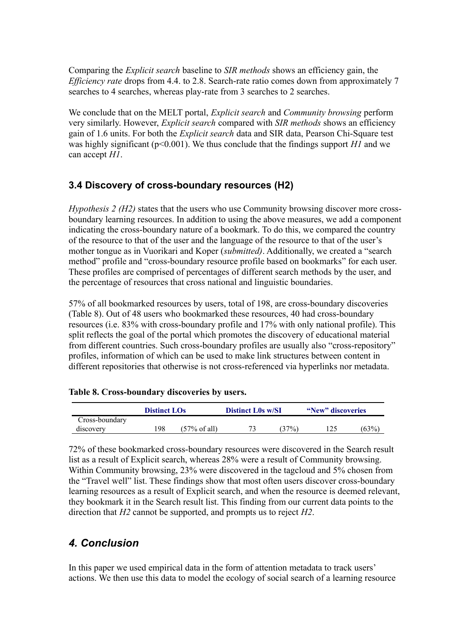Comparing the *Explicit search* baseline to *SIR methods* shows an efficiency gain, the *Efficiency rate* drops from 4.4. to 2.8. Search-rate ratio comes down from approximately 7 searches to 4 searches, whereas play-rate from 3 searches to 2 searches.

We conclude that on the MELT portal, *Explicit search* and *Community browsing* perform very similarly. However, *Explicit search* compared with *SIR methods* shows an efficiency gain of 1.6 units. For both the *Explicit search* data and SIR data, Pearson Chi-Square test was highly significant ( $p<0.001$ ). We thus conclude that the findings support *H1* and we can accept *H1*.

## **3.4 Discovery of cross-boundary resources (H2)**

*Hypothesis 2 (H2)* states that the users who use Community browsing discover more crossboundary learning resources. In addition to using the above measures, we add a component indicating the cross-boundary nature of a bookmark. To do this, we compared the country of the resource to that of the user and the language of the resource to that of the user's mother tongue as in Vuorikari and Koper (*submitted)*. Additionally, we created a "search method" profile and "cross-boundary resource profile based on bookmarks" for each user. These profiles are comprised of percentages of different search methods by the user, and the percentage of resources that cross national and linguistic boundaries.

57% of all bookmarked resources by users, total of 198, are cross-boundary discoveries (Table 8). Out of 48 users who bookmarked these resources, 40 had cross-boundary resources (i.e. 83% with cross-boundary profile and 17% with only national profile). This split reflects the goal of the portal which promotes the discovery of educational material from different countries. Such cross-boundary profiles are usually also "cross-repository" profiles, information of which can be used to make link structures between content in different repositories that otherwise is not cross-referenced via hyperlinks nor metadata.

#### **Table 8. Cross-boundary discoveries by users.**

|                | <b>Distinct LOs</b> |                         | <b>Distinct L0s w/SI</b> |        | "New" discoveries |      |
|----------------|---------------------|-------------------------|--------------------------|--------|-------------------|------|
| Cross-boundary |                     |                         |                          |        |                   |      |
| discovery      | 198                 | $(57\% \text{ of all})$ |                          | $37\%$ | 125               | (63% |

72% of these bookmarked cross-boundary resources were discovered in the Search result list as a result of Explicit search, whereas 28% were a result of Community browsing. Within Community browsing, 23% were discovered in the tagcloud and 5% chosen from the "Travel well" list. These findings show that most often users discover cross-boundary learning resources as a result of Explicit search, and when the resource is deemed relevant, they bookmark it in the Search result list. This finding from our current data points to the direction that *H2* cannot be supported, and prompts us to reject *H2*.

### *4. Conclusion*

In this paper we used empirical data in the form of attention metadata to track users' actions. We then use this data to model the ecology of social search of a learning resource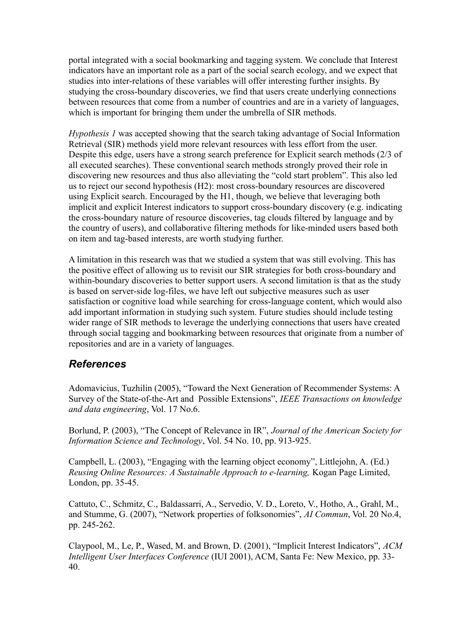portal integrated with a social bookmarking and tagging system. We conclude that Interest indicators have an important role as a part of the social search ecology, and we expect that studies into inter-relations of these variables will offer interesting further insights. By studying the cross-boundary discoveries, we find that users create underlying connections between resources that come from a number of countries and are in a variety of languages, which is important for bringing them under the umbrella of SIR methods.

*Hypothesis 1* was accepted showing that the search taking advantage of Social Information Retrieval (SIR) methods yield more relevant resources with less effort from the user. Despite this edge, users have a strong search preference for Explicit search methods (2/3 of all executed searches). These conventional search methods strongly proved their role in discovering new resources and thus also alleviating the "cold start problem". This also led us to reject our second hypothesis (H2): most cross-boundary resources are discovered using Explicit search. Encouraged by the H1, though, we believe that leveraging both implicit and explicit Interest indicators to support cross-boundary discovery (e.g. indicating the cross-boundary nature of resource discoveries, tag clouds filtered by language and by the country of users), and collaborative filtering methods for like-minded users based both on item and tag-based interests, are worth studying further.

A limitation in this research was that we studied a system that was still evolving. This has the positive effect of allowing us to revisit our SIR strategies for both cross-boundary and within-boundary discoveries to better support users. A second limitation is that as the study is based on server-side log-files, we have left out subjective measures such as user satisfaction or cognitive load while searching for cross-language content, which would also add important information in studying such system. Future studies should include testing wider range of SIR methods to leverage the underlying connections that users have created through social tagging and bookmarking between resources that originate from a number of repositories and are in a variety of languages.

### *References*

Adomavicius, Tuzhilin (2005), "Toward the Next Generation of Recommender Systems: A Survey of the State-of-the-Art and Possible Extensions", *IEEE Transactions on knowledge and data engineering*, Vol. 17 No.6.

Borlund, P. (2003), "The Concept of Relevance in IR", *Journal of the American Society for Information Science and Technology*, Vol. 54 No. 10, pp. 913-925.

Campbell, L. (2003), "Engaging with the learning object economy", Littlejohn, A. (Ed.) *Reusing Online Resources: A Sustainable Approach to e-learning,* Kogan Page Limited, London, pp. 35-45.

Cattuto, C., Schmitz, C., Baldassarri, A., Servedio, V. D., Loreto, V., Hotho, A., Grahl, M., and Stumme, G. (2007), "Network properties of folksonomies", *AI Commun*, Vol. 20 No.4, pp. 245-262.

Claypool, M., Le, P., Wased, M. and Brown, D. (2001), "Implicit Interest Indicators", *ACM Intelligent User Interfaces Conference* (IUI 2001), ACM, Santa Fe: New Mexico, pp. 33- 40.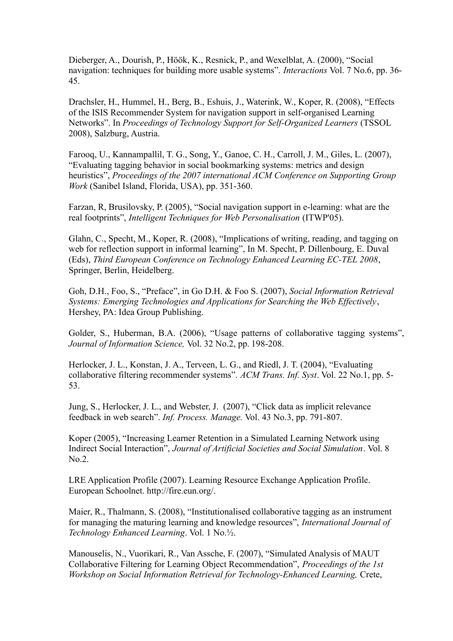Dieberger, A., Dourish, P., Höök, K., Resnick, P., and Wexelblat, A. (2000), "Social navigation: techniques for building more usable systems". *Interactions* Vol. 7 No.6, pp. 36- 45.

Drachsler, H., Hummel, H., Berg, B., Eshuis, J., Waterink, W., Koper, R. (2008), "Effects of the ISIS Recommender System for navigation support in self-organised Learning Networks". In *Proceedings of Technology Support for Self-Organized Learners* (TSSOL 2008), Salzburg, Austria.

Farooq, U., Kannampallil, T. G., Song, Y., Ganoe, C. H., Carroll, J. M., Giles, L. (2007), "Evaluating tagging behavior in social bookmarking systems: metrics and design heuristics", *Proceedings of the 2007 international ACM Conference on Supporting Group Work* (Sanibel Island, Florida, USA), pp. 351-360.

Farzan, R, Brusilovsky, P. (2005), "Social navigation support in e-learning: what are the real footprints", *Intelligent Techniques for Web Personalisation* (ITWP'05).

Glahn, C., Specht, M., Koper, R. (2008), "Implications of writing, reading, and tagging on web for reflection support in informal learning", In M. Specht, P. Dillenbourg, E. Duval (Eds), *Third European Conference on Technology Enhanced Learning EC-TEL 2008*, Springer, Berlin, Heidelberg.

Goh, D.H., Foo, S., "Preface", in Go D.H. & Foo S. (2007), *Social Information Retrieval Systems: Emerging Technologies and Applications for Searching the Web Effectively*, Hershey, PA: Idea Group Publishing.

Golder, S., Huberman, B.A. (2006), "Usage patterns of collaborative tagging systems", *Journal of Information Science,* Vol. 32 No.2, pp. 198-208.

Herlocker, J. L., Konstan, J. A., Terveen, L. G., and Riedl, J. T. (2004), "Evaluating collaborative filtering recommender systems". *ACM Trans. Inf. Syst*. Vol. 22 No.1, pp. 5- 53.

Jung, S., Herlocker, J. L., and Webster, J. (2007), "Click data as implicit relevance feedback in web search". *Inf. Process. Manage.* Vol. 43 No.3, pp. 791-807.

Koper (2005), "Increasing Learner Retention in a Simulated Learning Network using Indirect Social Interaction", *Journal of Artificial Societies and Social Simulation*. Vol. 8 No.2.

LRE Application Profile (2007). Learning Resource Exchange Application Profile. European Schoolnet. http://fire.eun.org/.

Maier, R., Thalmann, S. (2008), "Institutionalised collaborative tagging as an instrument for managing the maturing learning and knowledge resources", *International Journal of Technology Enhanced Learning*. Vol. 1 No.½.

Manouselis, N., Vuorikari, R., Van Assche, F. (2007), "Simulated Analysis of MAUT Collaborative Filtering for Learning Object Recommendation", *Proceedings of the 1st Workshop on Social Information Retrieval for Technology-Enhanced Learning,* Crete,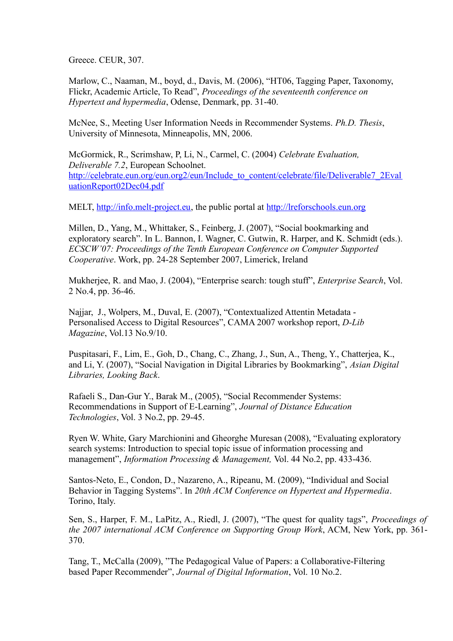Greece. CEUR, 307.

Marlow, C., Naaman, M., boyd, d., Davis, M. (2006), "HT06, Tagging Paper, Taxonomy, Flickr, Academic Article, To Read", *Proceedings of the seventeenth conference on Hypertext and hypermedia*, Odense, Denmark, pp. 31-40.

McNee, S., Meeting User Information Needs in Recommender Systems. *Ph.D. Thesis*, University of Minnesota, Minneapolis, MN, 2006.

McGormick, R., Scrimshaw, P, Li, N., Carmel, C. (2004) *Celebrate Evaluation, Deliverable 7.2*, European Schoolnet. [http://celebrate.eun.org/eun.org2/eun/Include\\_to\\_content/celebrate/file/Deliverable7\\_2Eval](http://celebrate.eun.org/eun.org2/eun/Include_to_content/celebrate/file/Deliverable7_2EvaluationReport02Dec04.pdf) [uationReport02Dec04.pdf](http://celebrate.eun.org/eun.org2/eun/Include_to_content/celebrate/file/Deliverable7_2EvaluationReport02Dec04.pdf)

MELT, [http://info.melt-project.eu,](http://info.melt-project.eu/) the public portal at [http://lreforschools.eun.org](http://lreforschools.eun.org/)

Millen, D., Yang, M., Whittaker, S., Feinberg, J. (2007), "Social bookmarking and exploratory search". In L. Bannon, I. Wagner, C. Gutwin, R. Harper, and K. Schmidt (eds.). *ECSCW'07: Proceedings of the Tenth European Conference on Computer Supported Cooperative*. Work, pp. 24-28 September 2007, Limerick, Ireland

Mukherjee, R. and Mao, J. (2004), "Enterprise search: tough stuff", *Enterprise Search*, Vol. 2 No.4, pp. 36-46.

Najjar, J., Wolpers, M., Duval, E. (2007), "Contextualized Attentin Metadata - Personalised Access to Digital Resources", CAMA 2007 workshop report, *D-Lib Magazine*, Vol.13 No.9/10.

Puspitasari, F., Lim, E., Goh, D., Chang, C., Zhang, J., Sun, A., Theng, Y., Chatterjea, K., and Li, Y. (2007), "Social Navigation in Digital Libraries by Bookmarking", *Asian Digital Libraries, Looking Back*.

Rafaeli S., Dan-Gur Y., Barak M., (2005), "Social Recommender Systems: Recommendations in Support of E-Learning", *Journal of Distance Education Technologies*, Vol. 3 No.2, pp. 29-45.

Ryen W. White, Gary Marchionini and Gheorghe Muresan (2008), "Evaluating exploratory search systems: Introduction to special topic issue of information processing and management", *Information Processing & Management,* Vol. 44 No.2, pp. 433-436.

Santos-Neto, E., Condon, D., Nazareno, A., Ripeanu, M. (2009), "Individual and Social Behavior in Tagging Systems". In *20th ACM Conference on Hypertext and Hypermedia*. Torino, Italy.

Sen, S., Harper, F. M., LaPitz, A., Riedl, J. (2007), "The quest for quality tags", *Proceedings of the 2007 international ACM Conference on Supporting Group Work*, ACM, New York, pp. 361- 370.

Tang, T., McCalla (2009), "The Pedagogical Value of Papers: a Collaborative-Filtering based Paper Recommender", *Journal of Digital Information*, Vol. 10 No.2.